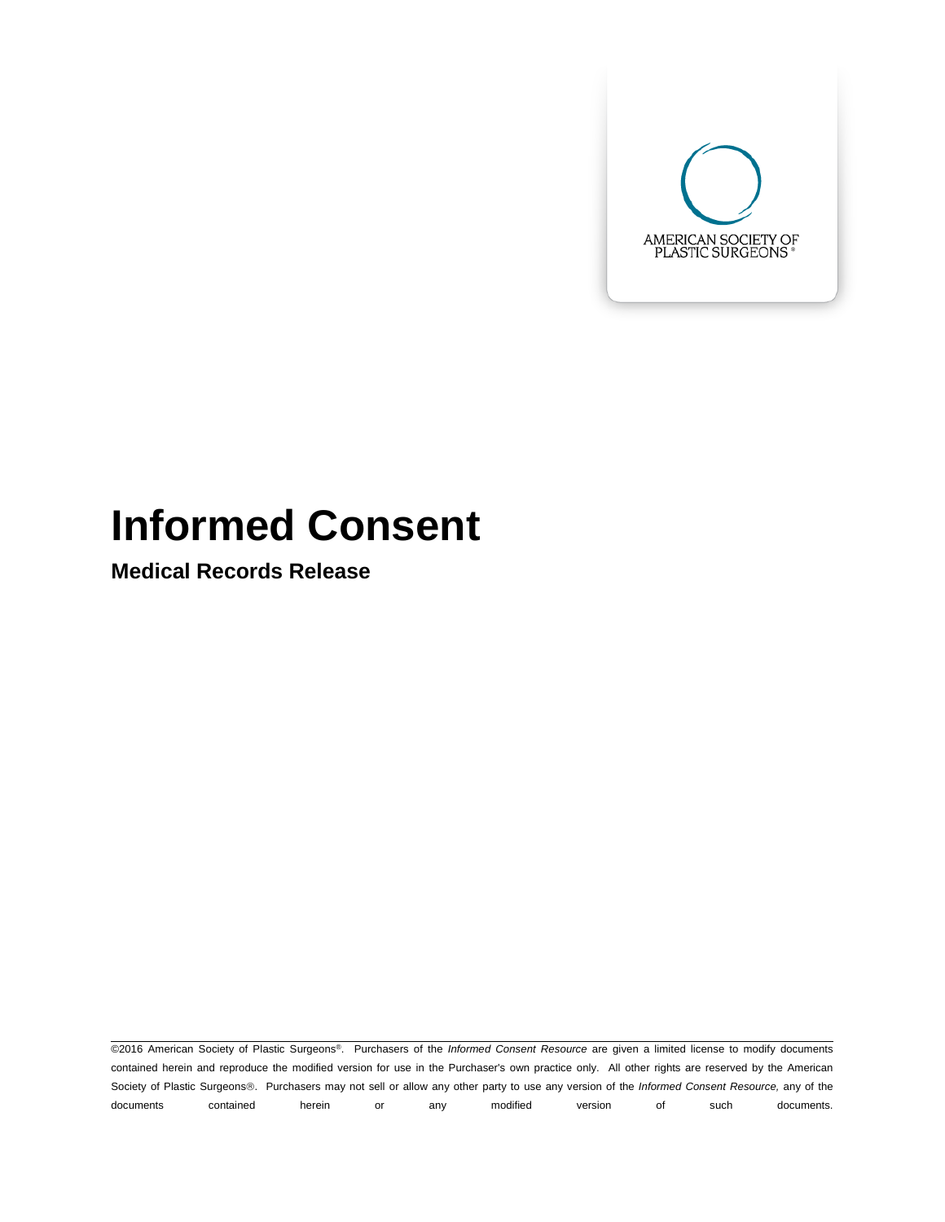

# **Informed Consent**

**Medical Records Release**

©2016 American Society of Plastic Surgeons®. Purchasers of the *Informed Consent Resource* are given a limited license to modify documents contained herein and reproduce the modified version for use in the Purchaser's own practice only. All other rights are reserved by the American Society of Plastic Surgeons®. Purchasers may not sell or allow any other party to use any version of the *Informed Consent Resource*, any of the documents contained herein or any modified version of such documents.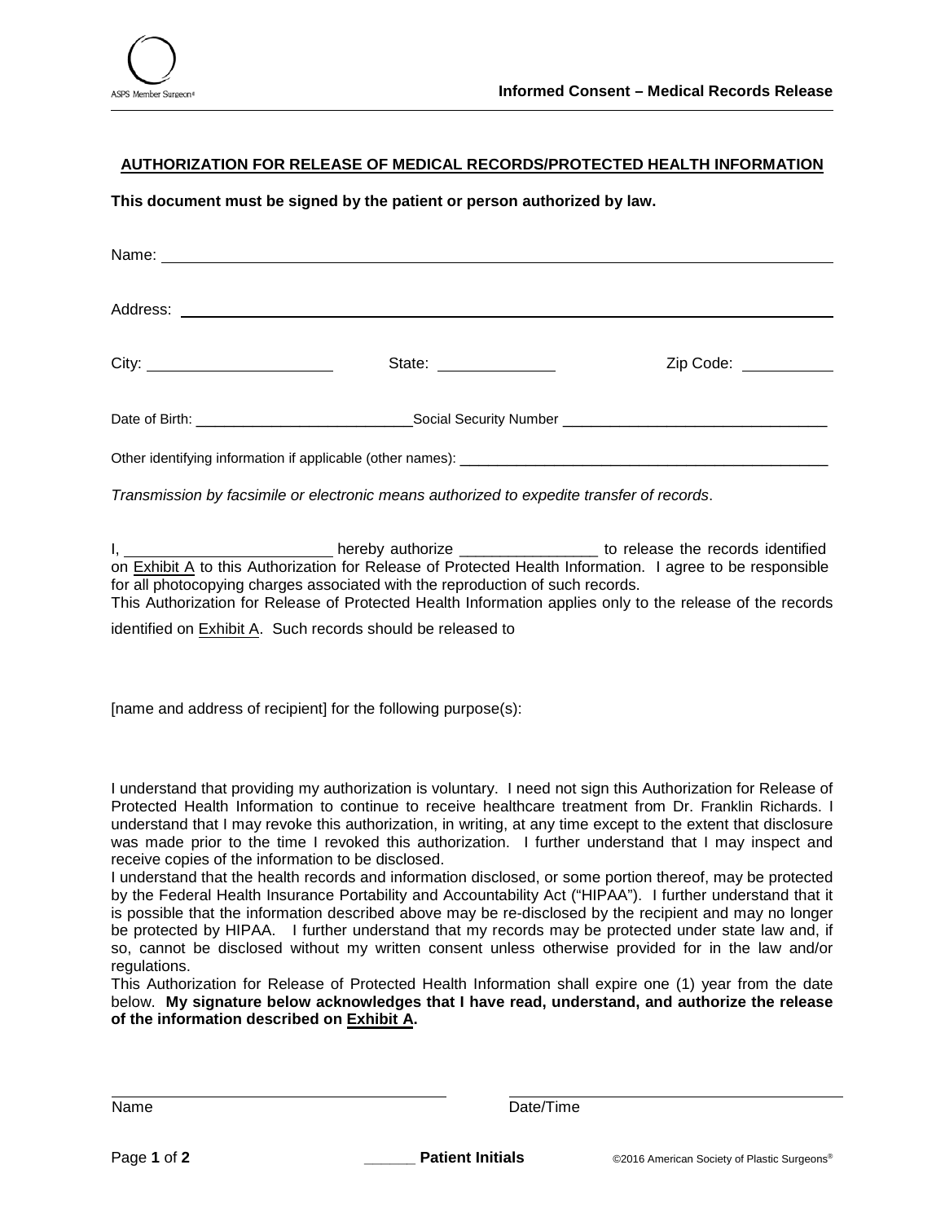

## **AUTHORIZATION FOR RELEASE OF MEDICAL RECORDS/PROTECTED HEALTH INFORMATION**

**This document must be signed by the patient or person authorized by law.**

|  | Zip Code: __________ |  |
|--|----------------------|--|
|  |                      |  |
|  |                      |  |
|  |                      |  |

*Transmission by facsimile or electronic means authorized to expedite transfer of records*.

I, the conduction of the records identified the records identified to release the records identified on Exhibit A to this Authorization for Release of Protected Health Information. I agree to be responsible for all photocopying charges associated with the reproduction of such records.

This Authorization for Release of Protected Health Information applies only to the release of the records

identified on Exhibit A. Such records should be released to

[name and address of recipient] for the following purpose(s):

I understand that providing my authorization is voluntary. I need not sign this Authorization for Release of Protected Health Information to continue to receive healthcare treatment from Dr. Franklin Richards. I understand that I may revoke this authorization, in writing, at any time except to the extent that disclosure was made prior to the time I revoked this authorization. I further understand that I may inspect and receive copies of the information to be disclosed.

I understand that the health records and information disclosed, or some portion thereof, may be protected by the Federal Health Insurance Portability and Accountability Act ("HIPAA"). I further understand that it is possible that the information described above may be re-disclosed by the recipient and may no longer be protected by HIPAA. I further understand that my records may be protected under state law and, if so, cannot be disclosed without my written consent unless otherwise provided for in the law and/or regulations.

This Authorization for Release of Protected Health Information shall expire one (1) year from the date below. **My signature below acknowledges that I have read, understand, and authorize the release of the information described on Exhibit A.** 

Name Date/Time